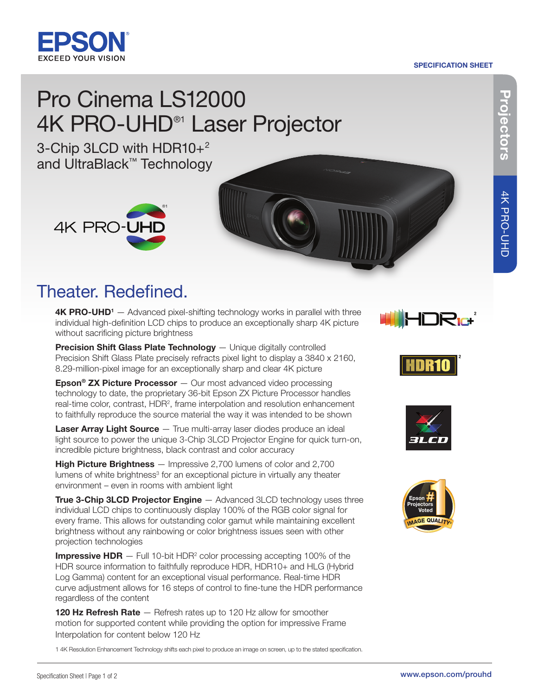#### SPECIFICATION SHEET



# Pro Cinema LS12000 4K PRO-UHD<sup>®1</sup> Laser Projector

3-Chip 3LCD with HDR10+2 and UltraBlack™ Technology



### Theater. Redefined.

4K PRO-UHD<sup>1</sup> – Advanced pixel-shifting technology works in parallel with three individual high-definition LCD chips to produce an exceptionally sharp 4K picture without sacrificing picture brightness

Precision Shift Glass Plate Technology - Unique digitally controlled Precision Shift Glass Plate precisely refracts pixel light to display a 3840 x 2160, 8.29-million-pixel image for an exceptionally sharp and clear 4K picture

**Epson<sup>®</sup> ZX Picture Processor**  $-$  Our most advanced video processing technology to date, the proprietary 36-bit Epson ZX Picture Processor handles real-time color, contrast, HDR<sup>2</sup>, frame interpolation and resolution enhancement to faithfully reproduce the source material the way it was intended to be shown

Laser Array Light Source — True multi-array laser diodes produce an ideal light source to power the unique 3-Chip 3LCD Projector Engine for quick turn-on, incredible picture brightness, black contrast and color accuracy

**High Picture Brightness** — Impressive 2,700 lumens of color and 2,700 lumens of white brightness<sup>3</sup> for an exceptional picture in virtually any theater environment – even in rooms with ambient light

**True 3-Chip 3LCD Projector Engine** — Advanced 3LCD technology uses three individual LCD chips to continuously display 100% of the RGB color signal for every frame. This allows for outstanding color gamut while maintaining excellent brightness without any rainbowing or color brightness issues seen with other projection technologies

**Impressive HDR**  $-$  Full 10-bit HDR<sup>2</sup> color processing accepting 100% of the HDR source information to faithfully reproduce HDR, HDR10+ and HLG (Hybrid Log Gamma) content for an exceptional visual performance. Real-time HDR curve adjustment allows for 16 steps of control to fine-tune the HDR performance regardless of the content

120 Hz Refresh Rate - Refresh rates up to 120 Hz allow for smoother motion for supported content while providing the option for impressive Frame Interpolation for content below 120 Hz

1 4K Resolution Enhancement Technology shifts each pixel to produce an image on screen, up to the stated specification.